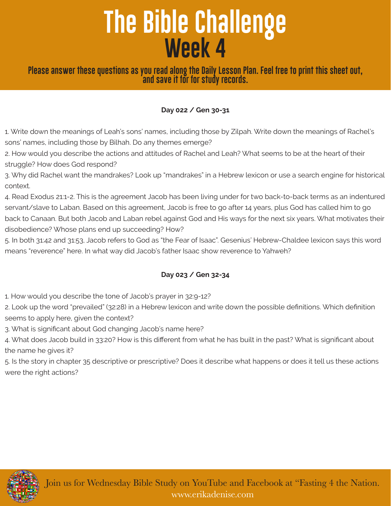# **The Bible Challenge Week 4**

**Please answer these questions as you read along the Daily Lesson Plan. Feel free to print this sheet out, and save it for for study records.**

#### **Day 022 / Gen 30-31**

1. Write down the meanings of Leah's sons' names, including those by Zilpah. Write down the meanings of Rachel's sons' names, including those by Bilhah. Do any themes emerge?

2. How would you describe the actions and attitudes of Rachel and Leah? What seems to be at the heart of their struggle? How does God respond?

3. Why did Rachel want the mandrakes? Look up "mandrakes" in a Hebrew lexicon or use a search engine for historical context.

4. Read Exodus 21:1-2. This is the agreement Jacob has been living under for two back-to-back terms as an indentured servant/slave to Laban. Based on this agreement, Jacob is free to go after 14 years, plus God has called him to go back to Canaan. But both Jacob and Laban rebel against God and His ways for the next six years. What motivates their disobedience? Whose plans end up succeeding? How?

5. In both 31:42 and 31:53, Jacob refers to God as "the Fear of Isaac". Gesenius' Hebrew-Chaldee lexicon says this word means "reverence" here. In what way did Jacob's father Isaac show reverence to Yahweh?

#### **Day 023 / Gen 32-34**

1. How would you describe the tone of Jacob's prayer in 32:9-12?

2. Look up the word "prevailed" (32:28) in a Hebrew lexicon and write down the possible definitions. Which definition seems to apply here, given the context?

3. What is significant about God changing Jacob's name here?

4. What does Jacob build in 33:20? How is this different from what he has built in the past? What is significant about the name he gives it?

5. Is the story in chapter 35 descriptive or prescriptive? Does it describe what happens or does it tell us these actions were the right actions?



Join us for Wednesday Bible Study on YouTube and Facebook at "Fasting 4 the Nation. www.erikadenise.com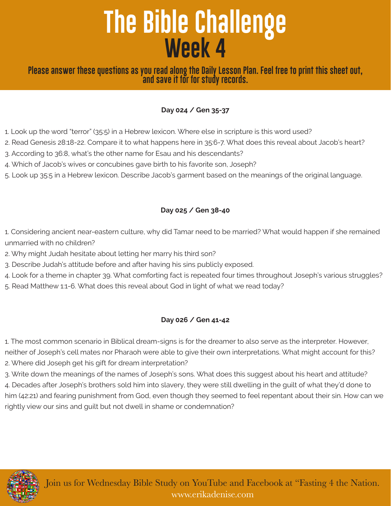# **The Bible Challenge Week 4**

### **Please answer these questions as you read along the Daily Lesson Plan. Feel free to print this sheet out, and save it for for study records.**

### **Day 024 / Gen 35-37**

- 1. Look up the word "terror" (35:5) in a Hebrew lexicon. Where else in scripture is this word used?
- 2. Read Genesis 28:18-22. Compare it to what happens here in 35:6-7. What does this reveal about Jacob's heart?
- 3. According to 36:8, what's the other name for Esau and his descendants?
- 4. Which of Jacob's wives or concubines gave birth to his favorite son, Joseph?
- 5. Look up 35:5 in a Hebrew lexicon. Describe Jacob's garment based on the meanings of the original language.

### **Day 025 / Gen 38-40**

- 1. Considering ancient near-eastern culture, why did Tamar need to be married? What would happen if she remained unmarried with no children?
- 2. Why might Judah hesitate about letting her marry his third son?
- 3. Describe Judah's attitude before and after having his sins publicly exposed.
- 4. Look for a theme in chapter 39. What comforting fact is repeated four times throughout Joseph's various struggles?
- 5. Read Matthew 1:1-6. What does this reveal about God in light of what we read today?

## **Day 026 / Gen 41-42**

1. The most common scenario in Biblical dream-signs is for the dreamer to also serve as the interpreter. However, neither of Joseph's cell mates nor Pharaoh were able to give their own interpretations. What might account for this? 2. Where did Joseph get his gift for dream interpretation?

3. Write down the meanings of the names of Joseph's sons. What does this suggest about his heart and attitude? 4. Decades after Joseph's brothers sold him into slavery, they were still dwelling in the guilt of what they'd done to him (42:21) and fearing punishment from God, even though they seemed to feel repentant about their sin. How can we rightly view our sins and guilt but not dwell in shame or condemnation?